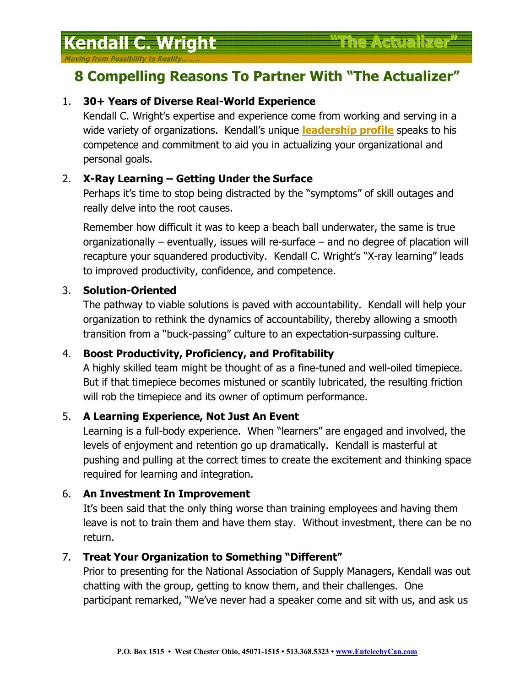# **Kendall C. Wright "The Actualizer"**

Moving from Possibility to Real

# **8 Compelling Reasons To Partner With "The Actualizer"**

### 1. **30+ Years of Diverse Real-World Experience**

Kendall C. Wright's expertise and experience come from working and serving in a wide variety of organizations. Kendall's unique **leadership profile** speaks to his competence and commitment to aid you in actualizing your organizational and personal goals.

# 2. **X-Ray Learning – Getting Under the Surface**

Perhaps it's time to stop being distracted by the "symptoms" of skill outages and really delve into the root causes.

Remember how difficult it was to keep a beach ball underwater, the same is true organizationally – eventually, issues will re-surface – and no degree of placation will recapture your squandered productivity. Kendall C. Wright's "X-ray learning" leads to improved productivity, confidence, and competence.

#### 3. **Solution-Oriented**

The pathway to viable solutions is paved with accountability. Kendall will help your organization to rethink the dynamics of accountability, thereby allowing a smooth transition from a "buck-passing" culture to an expectation-surpassing culture.

# 4. **Boost Productivity, Proficiency, and Profitability**

A highly skilled team might be thought of as a fine-tuned and well-oiled timepiece. But if that timepiece becomes mistuned or scantily lubricated, the resulting friction will rob the timepiece and its owner of optimum performance.

#### 5. **A Learning Experience, Not Just An Event**

Learning is a full-body experience. When "learners" are engaged and involved, the levels of enjoyment and retention go up dramatically. Kendall is masterful at pushing and pulling at the correct times to create the excitement and thinking space required for learning and integration.

#### 6. **An Investment In Improvement**

It's been said that the only thing worse than training employees and having them leave is not to train them and have them stay. Without investment, there can be no return.

# 7. **Treat Your Organization to Something "Different"**

Prior to presenting for the National Association of Supply Managers, Kendall was out chatting with the group, getting to know them, and their challenges. One participant remarked, "We've never had a speaker come and sit with us, and ask us